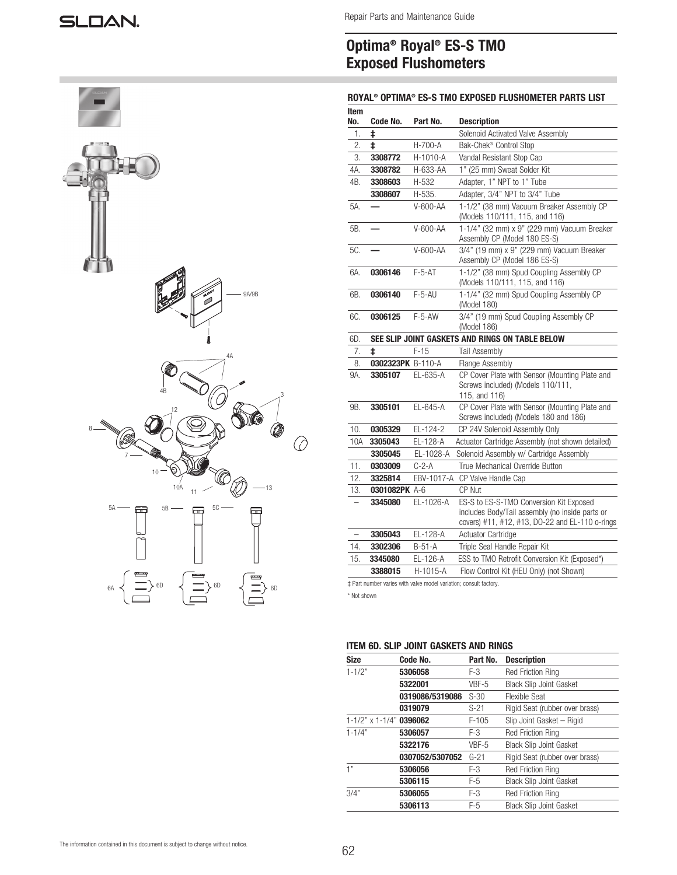

# Optima® Royal® ES-S TMO Exposed Flushometers

# ROYAL® OPTIMA® ES-S TMO EXPOSED FLUSHOMETER PARTS LIST

| ltem<br>No.              | Code No.          | Part No.   | <b>Description</b>                                                                                                                            |
|--------------------------|-------------------|------------|-----------------------------------------------------------------------------------------------------------------------------------------------|
| 1.                       | ŧ                 |            | Solenoid Activated Valve Assembly                                                                                                             |
| 2.                       | ŧ                 | H-700-A    | Bak-Chek <sup>®</sup> Control Stop                                                                                                            |
| 3.                       | 3308772           | H-1010-A   | Vandal Resistant Stop Cap                                                                                                                     |
| 4A.                      | 3308782           | H-633-AA   | 1" (25 mm) Sweat Solder Kit                                                                                                                   |
| 4B.                      | 3308603           | H-532      | Adapter, 1" NPT to 1" Tube                                                                                                                    |
|                          | 3308607           | H-535.     | Adapter, 3/4" NPT to 3/4" Tube                                                                                                                |
| 5A.                      |                   | V-600-AA   | 1-1/2" (38 mm) Vacuum Breaker Assembly CP<br>(Models 110/111, 115, and 116)                                                                   |
| 5B.                      |                   | V-600-AA   | 1-1/4" (32 mm) x 9" (229 mm) Vacuum Breaker<br>Assembly CP (Model 180 ES-S)                                                                   |
| 5C.                      |                   | V-600-AA   | 3/4" (19 mm) x 9" (229 mm) Vacuum Breaker<br>Assembly CP (Model 186 ES-S)                                                                     |
| 6A.                      | 0306146           | $F-5-AT$   | 1-1/2" (38 mm) Spud Coupling Assembly CP<br>(Models 110/111, 115, and 116)                                                                    |
| 6B.                      | 0306140           | $F-5-AU$   | 1-1/4" (32 mm) Spud Coupling Assembly CP<br>(Model 180)                                                                                       |
| 6C.                      | 0306125           | $F-5-AW$   | 3/4" (19 mm) Spud Coupling Assembly CP<br>(Model 186)                                                                                         |
| 6D.                      |                   |            | SEE SLIP JOINT GASKETS AND RINGS ON TABLE BELOW                                                                                               |
| 7.                       | ŧ                 | $F-15$     | Tail Assembly                                                                                                                                 |
| 8.                       | 0302323PK B-110-A |            | <b>Flange Assembly</b>                                                                                                                        |
| 9A.                      | 3305107           | EL-635-A   | CP Cover Plate with Sensor (Mounting Plate and<br>Screws included) (Models 110/111,<br>115, and 116)                                          |
| 9B.                      | 3305101           | EL-645-A   | CP Cover Plate with Sensor (Mounting Plate and<br>Screws included) (Models 180 and 186)                                                       |
| 10.                      | 0305329           | EL-124-2   | CP 24V Solenoid Assembly Only                                                                                                                 |
| 10A                      | 3305043           | EL-128-A   | Actuator Cartridge Assembly (not shown detailed)                                                                                              |
|                          | 3305045           | EL-1028-A  | Solenoid Assembly w/ Cartridge Assembly                                                                                                       |
| 11.                      | 0303009           | $C-2-A$    | True Mechanical Override Button                                                                                                               |
| 12.                      | 3325814           | EBV-1017-A | CP Valve Handle Cap                                                                                                                           |
| 13.                      | 0301082PK A-6     |            | CP Nut                                                                                                                                        |
| $\overline{\phantom{0}}$ | 3345080           | EL-1026-A  | ES-S to ES-S-TMO Conversion Kit Exposed<br>includes Body/Tail assembly (no inside parts or<br>covers) #11, #12, #13, DO-22 and EL-110 o-rings |
| $\overline{\phantom{0}}$ | 3305043           | EL-128-A   | Actuator Cartridge                                                                                                                            |
| 14.                      | 3302306           | $B-51-A$   | Triple Seal Handle Repair Kit                                                                                                                 |
| 15.                      | 3345080           | EL-126-A   | ESS to TMO Retrofit Conversion Kit (Exposed*)                                                                                                 |
|                          | 3388015           | H-1015-A   | Flow Control Kit (HEU Only) (not Shown)                                                                                                       |

‡ Part number varies with valve model variation; consult factory.

\* Not shown

# ITEM 6D. SLIP JOINT GASKETS AND RINGS

| <b>Size</b>                       | Code No.        | Part No. | <b>Description</b>             |
|-----------------------------------|-----------------|----------|--------------------------------|
| $1 - 1/2"$                        | 5306058         | F-3      | <b>Red Friction Ring</b>       |
|                                   | 5322001         | VBF-5    | <b>Black Slip Joint Gasket</b> |
|                                   | 0319086/5319086 | $S-30$   | Flexible Seat                  |
|                                   | 0319079         | $S-21$   | Rigid Seat (rubber over brass) |
| $1 - 1/2$ " x $1 - 1/4$ " 0396062 |                 | $F-105$  | Slip Joint Gasket - Rigid      |
| $1 - 1/4"$                        | 5306057         | F-3      | <b>Red Friction Ring</b>       |
|                                   | 5322176         | VBF-5    | <b>Black Slip Joint Gasket</b> |
|                                   | 0307052/5307052 | $G-21$   | Rigid Seat (rubber over brass) |
| 1"                                | 5306056         | F-3      | <b>Red Friction Ring</b>       |
|                                   | 5306115         | F-5      | <b>Black Slip Joint Gasket</b> |
| 3/4"                              | 5306055         | F-3      | <b>Red Friction Ring</b>       |
|                                   | 5306113         | $F-5$    | <b>Black Slip Joint Gasket</b> |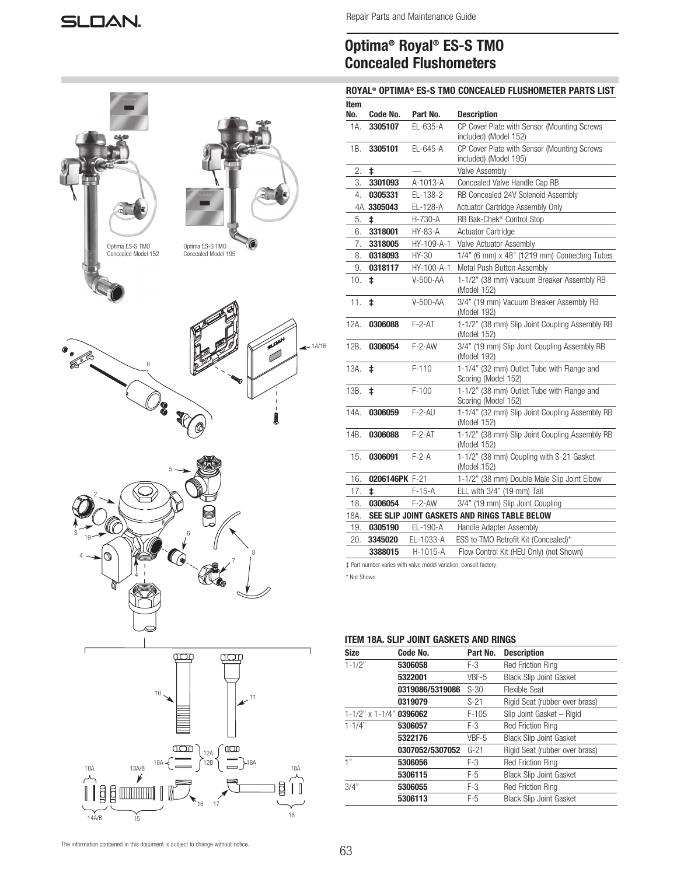| Optima ES-S TMO<br>Optima ES-S TMO<br>Concealed Model 152<br>Concealed Model 195                                                                                                                                                                                                                                                                                                                                                                        |          |
|---------------------------------------------------------------------------------------------------------------------------------------------------------------------------------------------------------------------------------------------------------------------------------------------------------------------------------------------------------------------------------------------------------------------------------------------------------|----------|
| age <sup>1</sup><br>0<br>0<br>9<br>▩<br>5<br>I<br>$\mathbf{I}$<br><b>OO</b><br>$\mathsf I$<br>1<br>Į                                                                                                                                                                                                                                                                                                                                                    | $+1A/1B$ |
| 5<br>$\overline{\phantom{a}}$<br>3<br>6<br>19<br>8<br>◑<br>4<br>KO<br>⋒                                                                                                                                                                                                                                                                                                                                                                                 |          |
| ſ<br>I<br>Œ<br>$10$ .<br>11<br>$18A \left\{\begin{array}{c} \begin{picture}(10,0) \put(0,0){\line(1,0){120}} \put(15,0){\line(1,0){120}} \put(15,0){\line(1,0){120}} \put(15,0){\line(1,0){120}} \put(15,0){\line(1,0){120}} \put(15,0){\line(1,0){120}} \put(15,0){\line(1,0){120}} \put(15,0){\line(1,0){120}} \put(15,0){\line(1,0){120}} \put(15,0){\line(1,0){120}} \put(15,0){$<br>$\overrightarrow{A}$<br>18A<br>18A<br>$\overleftrightarrow{1}$ |          |

# Optima® Royal® ES-S TMO Concealed Flushometers

# ROYAL® OPTIMA® ES-S TMO CONCEALED FLUSHOMETER PARTS LIST

| Item |                |              |                                                                   |
|------|----------------|--------------|-------------------------------------------------------------------|
| No.  | Code No.       | Part No.     | <b>Description</b>                                                |
| 1A.  | 3305107        | EL-635-A     | CP Cover Plate with Sensor (Mounting Screws                       |
|      |                |              | included) (Model 152)                                             |
| 1B.  | 3305101        | EL-645-A     | CP Cover Plate with Sensor (Mounting Screws                       |
|      |                |              | included) (Model 195)                                             |
| 2.   | ŧ              |              | Valve Assembly                                                    |
| 3.   | 3301093        | A-1013-A     | Concealed Valve Handle Cap RB                                     |
| 4.   | 0305331        | EL-138-2     | RB Concealed 24V Solenoid Assembly                                |
|      | 4A. 3305043    | EL-128-A     | Actuator Cartridge Assembly Only                                  |
| 5.   | $\ddagger$     | H-730-A      | RB Bak-Chek <sup>®</sup> Control Stop                             |
| 6.   | 3318001        | HY-83-A      | Actuator Cartridge                                                |
| 7.   | 3318005        | HY-109-A-1   | Valve Actuator Assembly                                           |
| 8.   | 0318093        | HY-30        | $1/4$ " (6 mm) x 48" (1219 mm) Connecting Tubes                   |
| 9.   | 0318117        | HY-100-A-1   | Metal Push Button Assembly                                        |
| 10.  | ŧ              | V-500-AA     | 1-1/2" (38 mm) Vacuum Breaker Assembly RB<br>(Model 152)          |
| 11.  | ŧ              | V-500-AA     | 3/4" (19 mm) Vacuum Breaker Assembly RB<br>(Model 192)            |
| 12A. | 0306088        | $F - 2 - AT$ | 1-1/2" (38 mm) Slip Joint Coupling Assembly RB<br>(Model 152)     |
| 12B. | 0306054        | $F-2-AW$     | 3/4" (19 mm) Slip Joint Coupling Assembly RB<br>(Model 192)       |
| 13A. | ŧ              | $F-110$      | 1-1/4" (32 mm) Outlet Tube with Flange and<br>Scoring (Model 152) |
| 13B. | ‡.             | $F-100$      | 1-1/2" (38 mm) Outlet Tube with Flange and<br>Scoring (Model 152) |
| 14A. | 0306059        | $F - 2 - AU$ | 1-1/4" (32 mm) Slip Joint Coupling Assembly RB<br>(Model 152)     |
| 14B. | 0306088        | $F - 2 - AT$ | 1-1/2" (38 mm) Slip Joint Coupling Assembly RB<br>(Model 152)     |
| 15.  | 0306091        | $F-2-A$      | 1-1/2" (38 mm) Coupling with S-21 Gasket<br>(Model 152)           |
| 16.  | 0206146PK F-21 |              | 1-1/2" (38 mm) Double Male Slip Joint Elbow                       |
| 17.  | ŧ              | F-15-A       | ELL with 3/4" (19 mm) Tail                                        |
| 18.  | 0306054        | $F-2-AW$     | 3/4" (19 mm) Slip Joint Coupling                                  |
| 18A. |                |              | SEE SLIP JOINT GASKETS AND RINGS TABLE BELOW                      |
| 19.  | 0305190        | EL-190-A     | Handle Adapter Assembly                                           |
| 20.  | 3345020        | EL-1033-A    | ESS to TMO Retrofit Kit (Concealed)*                              |
|      | 3388015        | H-1015-A     | Flow Control Kit (HEU Only) (not Shown)                           |

‡ Part number varies with valve model variation; consult factory.

\* Not Shown

# ITEM 18A. SLIP JOINT GASKETS AND RINGS

| <b>Size</b>                       | Code No.        | Part No. | <b>Description</b>             |
|-----------------------------------|-----------------|----------|--------------------------------|
| $1 - 1/2"$                        | 5306058         | F-3      | <b>Red Friction Ring</b>       |
|                                   | 5322001         | VBF-5    | <b>Black Slip Joint Gasket</b> |
|                                   | 0319086/5319086 | $S-30$   | Flexible Seat                  |
|                                   | 0319079         | $S-21$   | Rigid Seat (rubber over brass) |
| $1 - 1/2$ " x $1 - 1/4$ " 0396062 |                 | $F-105$  | Slip Joint Gasket - Rigid      |
| $1 - 1/4"$                        | 5306057         | F-3      | <b>Red Friction Ring</b>       |
|                                   | 5322176         | VBF-5    | <b>Black Slip Joint Gasket</b> |
|                                   | 0307052/5307052 | $G-21$   | Rigid Seat (rubber over brass) |
| 1"                                | 5306056         | $F-3$    | <b>Red Friction Ring</b>       |
|                                   | 5306115         | $F-5$    | <b>Black Slip Joint Gasket</b> |
| 3/4"                              | 5306055         | $F-3$    | <b>Red Friction Ring</b>       |
|                                   | 5306113         | $F-5$    | <b>Black Slip Joint Gasket</b> |

14A/B

17

 $\frac{v}{15}$  18 16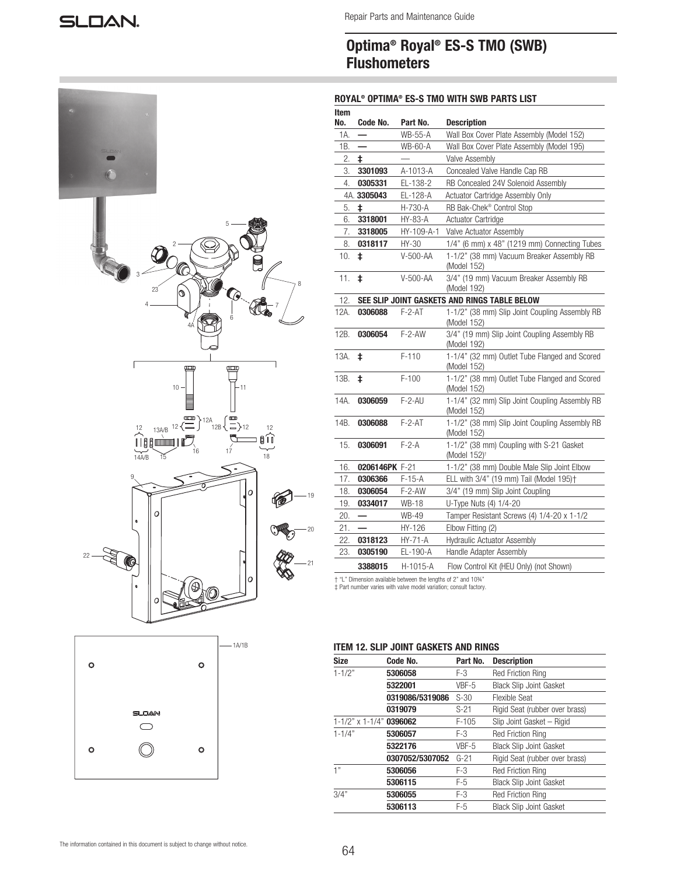Repair Parts and Maintenance Guide

# Optima® Royal® ES-S TMO (SWB) **Flushometers**

# ROYAL® OPTIMA® ES-S TMO WITH SWB PARTS LIST

| SLOAN                    |                                                                                                                                                                                                                                                                                                                                                                                                                                        |
|--------------------------|----------------------------------------------------------------------------------------------------------------------------------------------------------------------------------------------------------------------------------------------------------------------------------------------------------------------------------------------------------------------------------------------------------------------------------------|
|                          |                                                                                                                                                                                                                                                                                                                                                                                                                                        |
|                          | $5 \cdot$<br>3<br>$\,$ 8 $\,$<br>$23^{^{\prime}}$<br>Ø<br>Ç<br>4<br>$\begin{matrix} 1 \\ 6 \end{matrix}$<br>⋒                                                                                                                                                                                                                                                                                                                          |
|                          | $4\text{Å}$                                                                                                                                                                                                                                                                                                                                                                                                                            |
|                          |                                                                                                                                                                                                                                                                                                                                                                                                                                        |
| ſ                        | 1<br>B<br>$\overline{\rm e}$<br>$10 -$<br>$-11$                                                                                                                                                                                                                                                                                                                                                                                        |
|                          | $\begin{array}{c c c} & - & \bigsqcup & & & \\ & \overline{\text{comp}} & 12A & \overline{\text{comp}} & 12A & \overline{\text{comp}} \\ \hline 1 & 13A/B & 12 & \overline{\text{comp}} & 12A & \overline{\text{comp}} & 12A \\ \hline 1 & 1 & 1 & \overline{\text{comp}} & 16 & \overline{\text{comp}} & 17 \\ \hline 14A/B & 15 & & & 16 & & 17 \\ \end{array}$<br>$\begin{bmatrix} 12 \\ 11 \\ 11 \end{bmatrix}$<br>$\overline{18}$ |
| 9                        | 0<br>19                                                                                                                                                                                                                                                                                                                                                                                                                                |
|                          | O<br>20                                                                                                                                                                                                                                                                                                                                                                                                                                |
| $22 -$<br>Œ<br>$\bullet$ | $\overline{21}$<br>Ο<br>B                                                                                                                                                                                                                                                                                                                                                                                                              |
|                          | O                                                                                                                                                                                                                                                                                                                                                                                                                                      |

| Item<br>No. | Code No.       | Part No.                                                                                       | <b>Description</b>                                                   |
|-------------|----------------|------------------------------------------------------------------------------------------------|----------------------------------------------------------------------|
| 1A.         |                | <b>WB-55-A</b>                                                                                 | Wall Box Cover Plate Assembly (Model 152)                            |
| 1В.         |                | WB-60-A                                                                                        | Wall Box Cover Plate Assembly (Model 195)                            |
| 2.          | ŧ              |                                                                                                | Valve Assembly                                                       |
| 3.          | 3301093        | A-1013-A                                                                                       | Concealed Valve Handle Cap RB                                        |
| 4.          | 0305331        | EL-138-2                                                                                       | RB Concealed 24V Solenoid Assembly                                   |
|             | 4A. 3305043    | EL-128-A                                                                                       | Actuator Cartridge Assembly Only                                     |
| 5.          | ŧ              | H-730-A                                                                                        | RB Bak-Chek <sup>®</sup> Control Stop                                |
| 6.          | 3318001        | HY-83-A                                                                                        | <b>Actuator Cartridge</b>                                            |
| 7.          | 3318005        | HY-109-A-1                                                                                     | Valve Actuator Assembly                                              |
| 8.          | 0318117        | HY-30                                                                                          | $1/4$ " (6 mm) x 48" (1219 mm) Connecting Tubes                      |
| 10.         | ŧ              | V-500-AA                                                                                       | 1-1/2" (38 mm) Vacuum Breaker Assembly RB<br>(Model 152)             |
| 11.         | ŧ              | V-500-AA                                                                                       | 3/4" (19 mm) Vacuum Breaker Assembly RB<br>(Model 192)               |
| 12.         |                |                                                                                                | SEE SLIP JOINT GASKETS AND RINGS TABLE BELOW                         |
| 12A.        | 0306088        | $F-2-AT$                                                                                       | 1-1/2" (38 mm) Slip Joint Coupling Assembly RB<br>(Model 152)        |
| 12B.        | 0306054        | $F-2-AW$                                                                                       | 3/4" (19 mm) Slip Joint Coupling Assembly RB<br>(Model 192)          |
| 13A.        | ŧ              | $F-110$                                                                                        | 1-1/4" (32 mm) Outlet Tube Flanged and Scored<br>(Model 152)         |
| 13B.        | ŧ              | $F-100$                                                                                        | 1-1/2" (38 mm) Outlet Tube Flanged and Scored<br>(Model 152)         |
| 14A.        | 0306059        | $F-2-AU$                                                                                       | 1-1/4" (32 mm) Slip Joint Coupling Assembly RB<br>(Model 152)        |
| 14B.        | 0306088        | $F-2-AT$                                                                                       | 1-1/2" (38 mm) Slip Joint Coupling Assembly RB<br>(Model 152)        |
| 15.         | 0306091        | $F-2-A$                                                                                        | 1-1/2" (38 mm) Coupling with S-21 Gasket<br>(Model 152) <sup>+</sup> |
| 16.         | 0206146PK F-21 |                                                                                                | 1-1/2" (38 mm) Double Male Slip Joint Elbow                          |
| 17.         | 0306366        | F-15-A                                                                                         | ELL with 3/4" (19 mm) Tail (Model 195)+                              |
| 18.         | 0306054        | F-2-AW                                                                                         | 3/4" (19 mm) Slip Joint Coupling                                     |
| 19.         | 0334017        | WB-18                                                                                          | U-Type Nuts (4) 1/4-20                                               |
| 20.         |                | <b>WB-49</b>                                                                                   | Tamper Resistant Screws (4) 1/4-20 x 1-1/2                           |
| 21.         |                | HY-126                                                                                         | Elbow Fitting (2)                                                    |
| 22.         | 0318123        | HY-71-A                                                                                        | Hydraulic Actuator Assembly                                          |
| 23.         | 0305190        | EL-190-A                                                                                       | Handle Adapter Assembly                                              |
|             | 3388015        | H-1015-A                                                                                       | Flow Control Kit (HEU Only) (not Shown)                              |
|             |                | + "L" Dimension available between the lengths of 2" and 10%"<br>وداواه وموسوما وبراويد والشبرو |                                                                      |

‡ Part number varies with valve model variation; consult factory.

# ITEM 12. SLIP JOINT GASKETS AND RINGS

| <b>Size</b>                       | Code No.        | Part No. | <b>Description</b>             |
|-----------------------------------|-----------------|----------|--------------------------------|
| $1 - 1/2"$                        | 5306058         | F-3      | <b>Red Friction Ring</b>       |
|                                   | 5322001         | VBF-5    | <b>Black Slip Joint Gasket</b> |
|                                   | 0319086/5319086 | $S-30$   | <b>Flexible Seat</b>           |
|                                   | 0319079         | $S-21$   | Rigid Seat (rubber over brass) |
| $1 - 1/2$ " x $1 - 1/4$ " 0396062 |                 | $F-105$  | Slip Joint Gasket - Rigid      |
| $1 - 1/4"$                        | 5306057         | F-3      | <b>Red Friction Ring</b>       |
|                                   | 5322176         | VBF-5    | <b>Black Slip Joint Gasket</b> |
|                                   | 0307052/5307052 | $G-21$   | Rigid Seat (rubber over brass) |
| 1"                                | 5306056         | F-3      | <b>Red Friction Ring</b>       |
|                                   | 5306115         | F-5      | <b>Black Slip Joint Gasket</b> |
| 3/4"                              | 5306055         | $F-3$    | <b>Red Friction Ring</b>       |
|                                   | 5306113         | $F-5$    | <b>Black Slip Joint Gasket</b> |